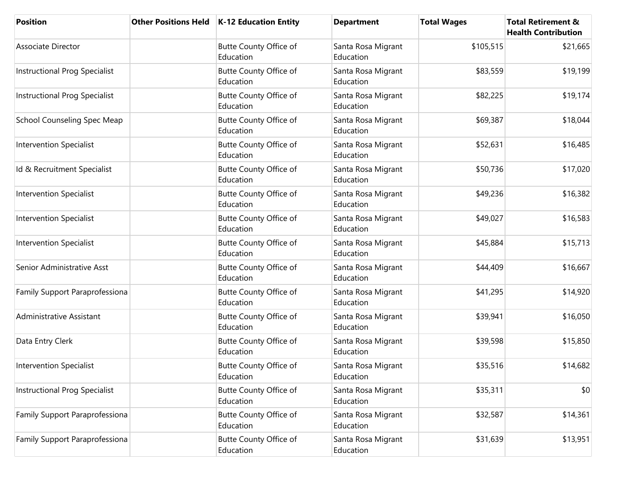| <b>Position</b>                      | Other Positions Held   K-12 Education Entity | <b>Department</b>               | <b>Total Wages</b> | <b>Total Retirement &amp;</b><br><b>Health Contribution</b> |
|--------------------------------------|----------------------------------------------|---------------------------------|--------------------|-------------------------------------------------------------|
| Associate Director                   | Butte County Office of<br>Education          | Santa Rosa Migrant<br>Education | \$105,515          | \$21,665                                                    |
| <b>Instructional Prog Specialist</b> | <b>Butte County Office of</b><br>Education   | Santa Rosa Migrant<br>Education | \$83,559           | \$19,199                                                    |
| <b>Instructional Prog Specialist</b> | <b>Butte County Office of</b><br>Education   | Santa Rosa Migrant<br>Education | \$82,225           | \$19,174                                                    |
| <b>School Counseling Spec Meap</b>   | <b>Butte County Office of</b><br>Education   | Santa Rosa Migrant<br>Education | \$69,387           | \$18,044                                                    |
| <b>Intervention Specialist</b>       | <b>Butte County Office of</b><br>Education   | Santa Rosa Migrant<br>Education | \$52,631           | \$16,485                                                    |
| Id & Recruitment Specialist          | <b>Butte County Office of</b><br>Education   | Santa Rosa Migrant<br>Education | \$50,736           | \$17,020                                                    |
| <b>Intervention Specialist</b>       | <b>Butte County Office of</b><br>Education   | Santa Rosa Migrant<br>Education | \$49,236           | \$16,382                                                    |
| <b>Intervention Specialist</b>       | Butte County Office of<br>Education          | Santa Rosa Migrant<br>Education | \$49,027           | \$16,583                                                    |
| <b>Intervention Specialist</b>       | <b>Butte County Office of</b><br>Education   | Santa Rosa Migrant<br>Education | \$45,884           | \$15,713                                                    |
| Senior Administrative Asst           | <b>Butte County Office of</b><br>Education   | Santa Rosa Migrant<br>Education | \$44,409           | \$16,667                                                    |
| Family Support Paraprofessiona       | <b>Butte County Office of</b><br>Education   | Santa Rosa Migrant<br>Education | \$41,295           | \$14,920                                                    |
| <b>Administrative Assistant</b>      | <b>Butte County Office of</b><br>Education   | Santa Rosa Migrant<br>Education | \$39,941           | \$16,050                                                    |
| Data Entry Clerk                     | Butte County Office of<br>Education          | Santa Rosa Migrant<br>Education | \$39,598           | \$15,850                                                    |
| <b>Intervention Specialist</b>       | <b>Butte County Office of</b><br>Education   | Santa Rosa Migrant<br>Education | \$35,516           | \$14,682                                                    |
| <b>Instructional Prog Specialist</b> | <b>Butte County Office of</b><br>Education   | Santa Rosa Migrant<br>Education | \$35,311           | \$0                                                         |
| Family Support Paraprofessiona       | Butte County Office of<br>Education          | Santa Rosa Migrant<br>Education | \$32,587           | \$14,361                                                    |
| Family Support Paraprofessiona       | Butte County Office of<br>Education          | Santa Rosa Migrant<br>Education | \$31,639           | \$13,951                                                    |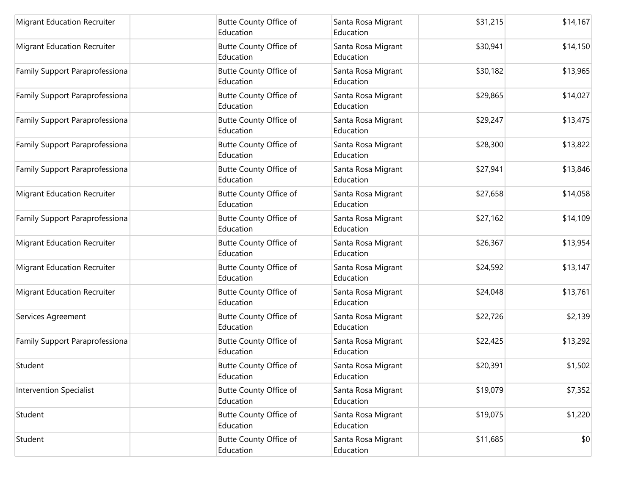| <b>Migrant Education Recruiter</b> | <b>Butte County Office of</b><br>Education | Santa Rosa Migrant<br>Education | \$31,215 | \$14,167 |
|------------------------------------|--------------------------------------------|---------------------------------|----------|----------|
| <b>Migrant Education Recruiter</b> | Butte County Office of<br>Education        | Santa Rosa Migrant<br>Education | \$30,941 | \$14,150 |
| Family Support Paraprofessiona     | Butte County Office of<br>Education        | Santa Rosa Migrant<br>Education | \$30,182 | \$13,965 |
| Family Support Paraprofessiona     | <b>Butte County Office of</b><br>Education | Santa Rosa Migrant<br>Education | \$29,865 | \$14,027 |
| Family Support Paraprofessiona     | Butte County Office of<br>Education        | Santa Rosa Migrant<br>Education | \$29,247 | \$13,475 |
| Family Support Paraprofessiona     | Butte County Office of<br>Education        | Santa Rosa Migrant<br>Education | \$28,300 | \$13,822 |
| Family Support Paraprofessiona     | Butte County Office of<br>Education        | Santa Rosa Migrant<br>Education | \$27,941 | \$13,846 |
| <b>Migrant Education Recruiter</b> | Butte County Office of<br>Education        | Santa Rosa Migrant<br>Education | \$27,658 | \$14,058 |
| Family Support Paraprofessiona     | Butte County Office of<br>Education        | Santa Rosa Migrant<br>Education | \$27,162 | \$14,109 |
| <b>Migrant Education Recruiter</b> | Butte County Office of<br>Education        | Santa Rosa Migrant<br>Education | \$26,367 | \$13,954 |
| <b>Migrant Education Recruiter</b> | Butte County Office of<br>Education        | Santa Rosa Migrant<br>Education | \$24,592 | \$13,147 |
| <b>Migrant Education Recruiter</b> | Butte County Office of<br>Education        | Santa Rosa Migrant<br>Education | \$24,048 | \$13,761 |
| Services Agreement                 | Butte County Office of<br>Education        | Santa Rosa Migrant<br>Education | \$22,726 | \$2,139  |
| Family Support Paraprofessiona     | Butte County Office of<br>Education        | Santa Rosa Migrant<br>Education | \$22,425 | \$13,292 |
| Student                            | Butte County Office of<br>Education        | Santa Rosa Migrant<br>Education | \$20,391 | \$1,502  |
| <b>Intervention Specialist</b>     | Butte County Office of<br>Education        | Santa Rosa Migrant<br>Education | \$19,079 | \$7,352  |
| Student                            | Butte County Office of<br>Education        | Santa Rosa Migrant<br>Education | \$19,075 | \$1,220  |
| Student                            | Butte County Office of<br>Education        | Santa Rosa Migrant<br>Education | \$11,685 | \$0      |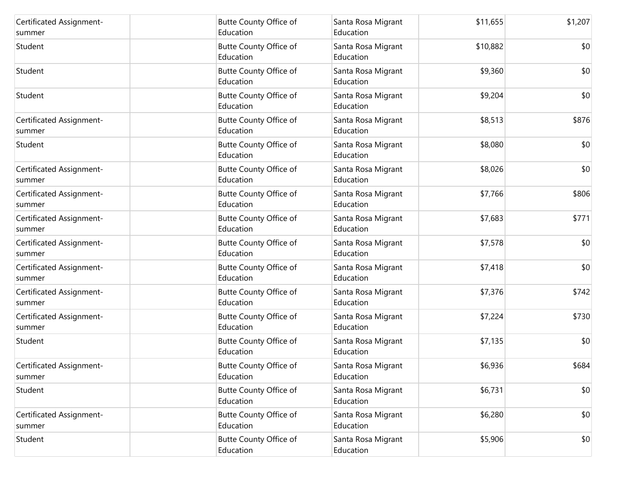| Certificated Assignment-           | Butte County Office of                     | Santa Rosa Migrant              | \$11,655 | \$1,207 |
|------------------------------------|--------------------------------------------|---------------------------------|----------|---------|
| summer                             | Education                                  | Education                       |          |         |
| Student                            | Butte County Office of<br>Education        | Santa Rosa Migrant<br>Education | \$10,882 | \$0     |
| Student                            | Butte County Office of<br>Education        | Santa Rosa Migrant<br>Education | \$9,360  | \$0     |
| Student                            | Butte County Office of<br>Education        | Santa Rosa Migrant<br>Education | \$9,204  | \$0     |
| Certificated Assignment-<br>summer | Butte County Office of<br>Education        | Santa Rosa Migrant<br>Education | \$8,513  | \$876   |
| Student                            | Butte County Office of<br>Education        | Santa Rosa Migrant<br>Education | \$8,080  | \$0     |
| Certificated Assignment-<br>summer | Butte County Office of<br>Education        | Santa Rosa Migrant<br>Education | \$8,026  | \$0     |
| Certificated Assignment-<br>summer | Butte County Office of<br>Education        | Santa Rosa Migrant<br>Education | \$7,766  | \$806   |
| Certificated Assignment-<br>summer | Butte County Office of<br>Education        | Santa Rosa Migrant<br>Education | \$7,683  | \$771   |
| Certificated Assignment-<br>summer | Butte County Office of<br>Education        | Santa Rosa Migrant<br>Education | \$7,578  | \$0     |
| Certificated Assignment-<br>summer | Butte County Office of<br>Education        | Santa Rosa Migrant<br>Education | \$7,418  | \$0     |
| Certificated Assignment-<br>summer | Butte County Office of<br>Education        | Santa Rosa Migrant<br>Education | \$7,376  | \$742   |
| Certificated Assignment-<br>summer | Butte County Office of<br>Education        | Santa Rosa Migrant<br>Education | \$7,224  | \$730   |
| Student                            | <b>Butte County Office of</b><br>Education | Santa Rosa Migrant<br>Education | \$7,135  | \$0     |
| Certificated Assignment-<br>summer | Butte County Office of<br>Education        | Santa Rosa Migrant<br>Education | \$6,936  | \$684   |
| Student                            | Butte County Office of<br>Education        | Santa Rosa Migrant<br>Education | \$6,731  | \$0     |
| Certificated Assignment-<br>summer | Butte County Office of<br>Education        | Santa Rosa Migrant<br>Education | \$6,280  | \$0     |
| Student                            | Butte County Office of<br>Education        | Santa Rosa Migrant<br>Education | \$5,906  | \$0     |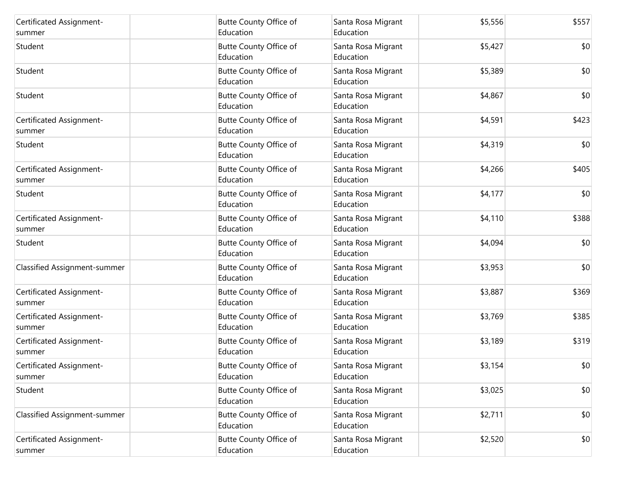| Certificated Assignment-<br>summer  | Butte County Office of<br>Education | Santa Rosa Migrant<br>Education | \$5,556 | \$557 |
|-------------------------------------|-------------------------------------|---------------------------------|---------|-------|
| Student                             | Butte County Office of<br>Education | Santa Rosa Migrant<br>Education | \$5,427 | \$0   |
| Student                             | Butte County Office of<br>Education | Santa Rosa Migrant<br>Education | \$5,389 | \$0   |
| Student                             | Butte County Office of<br>Education | Santa Rosa Migrant<br>Education | \$4,867 | \$0   |
| Certificated Assignment-<br>summer  | Butte County Office of<br>Education | Santa Rosa Migrant<br>Education | \$4,591 | \$423 |
| Student                             | Butte County Office of<br>Education | Santa Rosa Migrant<br>Education | \$4,319 | \$0   |
| Certificated Assignment-<br>summer  | Butte County Office of<br>Education | Santa Rosa Migrant<br>Education | \$4,266 | \$405 |
| Student                             | Butte County Office of<br>Education | Santa Rosa Migrant<br>Education | \$4,177 | \$0   |
| Certificated Assignment-<br>summer  | Butte County Office of<br>Education | Santa Rosa Migrant<br>Education | \$4,110 | \$388 |
| Student                             | Butte County Office of<br>Education | Santa Rosa Migrant<br>Education | \$4,094 | \$0   |
| <b>Classified Assignment-summer</b> | Butte County Office of<br>Education | Santa Rosa Migrant<br>Education | \$3,953 | \$0   |
| Certificated Assignment-<br>summer  | Butte County Office of<br>Education | Santa Rosa Migrant<br>Education | \$3,887 | \$369 |
| Certificated Assignment-<br>summer  | Butte County Office of<br>Education | Santa Rosa Migrant<br>Education | \$3,769 | \$385 |
| Certificated Assignment-<br>summer  | Butte County Office of<br>Education | Santa Rosa Migrant<br>Education | \$3,189 | \$319 |
| Certificated Assignment-<br>summer  | Butte County Office of<br>Education | Santa Rosa Migrant<br>Education | \$3,154 | \$0   |
| Student                             | Butte County Office of<br>Education | Santa Rosa Migrant<br>Education | \$3,025 | \$0   |
| Classified Assignment-summer        | Butte County Office of<br>Education | Santa Rosa Migrant<br>Education | \$2,711 | \$0   |
| Certificated Assignment-<br>summer  | Butte County Office of<br>Education | Santa Rosa Migrant<br>Education | \$2,520 | \$0   |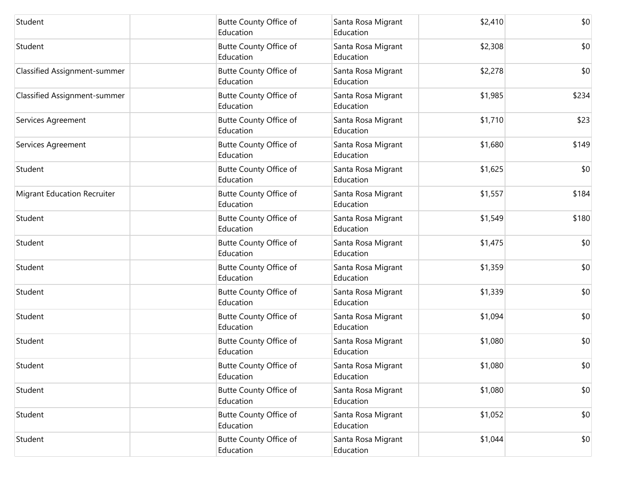| Student                             | Butte County Office of<br>Education | Santa Rosa Migrant<br>Education | \$2,410 | \$0   |
|-------------------------------------|-------------------------------------|---------------------------------|---------|-------|
| Student                             | Butte County Office of<br>Education | Santa Rosa Migrant<br>Education | \$2,308 | \$0   |
| Classified Assignment-summer        | Butte County Office of<br>Education | Santa Rosa Migrant<br>Education | \$2,278 | \$0   |
| <b>Classified Assignment-summer</b> | Butte County Office of<br>Education | Santa Rosa Migrant<br>Education | \$1,985 | \$234 |
| Services Agreement                  | Butte County Office of<br>Education | Santa Rosa Migrant<br>Education | \$1,710 | \$23  |
| Services Agreement                  | Butte County Office of<br>Education | Santa Rosa Migrant<br>Education | \$1,680 | \$149 |
| Student                             | Butte County Office of<br>Education | Santa Rosa Migrant<br>Education | \$1,625 | \$0   |
| <b>Migrant Education Recruiter</b>  | Butte County Office of<br>Education | Santa Rosa Migrant<br>Education | \$1,557 | \$184 |
| Student                             | Butte County Office of<br>Education | Santa Rosa Migrant<br>Education | \$1,549 | \$180 |
| Student                             | Butte County Office of<br>Education | Santa Rosa Migrant<br>Education | \$1,475 | \$0   |
| Student                             | Butte County Office of<br>Education | Santa Rosa Migrant<br>Education | \$1,359 | \$0   |
| Student                             | Butte County Office of<br>Education | Santa Rosa Migrant<br>Education | \$1,339 | \$0   |
| Student                             | Butte County Office of<br>Education | Santa Rosa Migrant<br>Education | \$1,094 | \$0   |
| Student                             | Butte County Office of<br>Education | Santa Rosa Migrant<br>Education | \$1,080 | \$0   |
| Student                             | Butte County Office of<br>Education | Santa Rosa Migrant<br>Education | \$1,080 | \$0   |
| Student                             | Butte County Office of<br>Education | Santa Rosa Migrant<br>Education | \$1,080 | \$0   |
| Student                             | Butte County Office of<br>Education | Santa Rosa Migrant<br>Education | \$1,052 | \$0   |
| Student                             | Butte County Office of<br>Education | Santa Rosa Migrant<br>Education | \$1,044 | \$0   |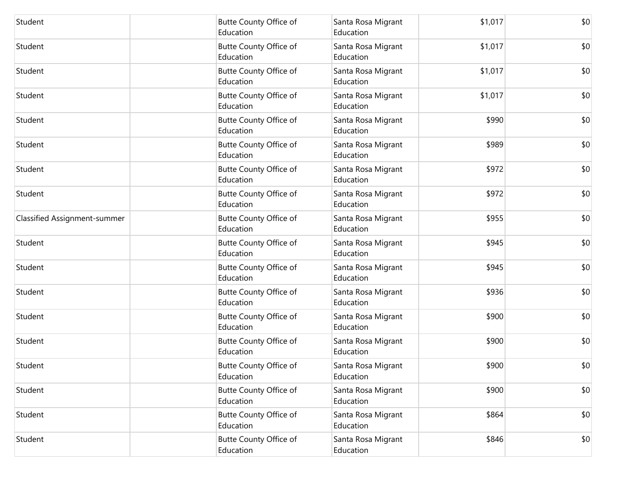| Student                             | <b>Butte County Office of</b><br>Education | Santa Rosa Migrant<br>Education | \$1,017 | \$0 |
|-------------------------------------|--------------------------------------------|---------------------------------|---------|-----|
| Student                             | Butte County Office of<br>Education        | Santa Rosa Migrant<br>Education | \$1,017 | \$0 |
| Student                             | Butte County Office of<br>Education        | Santa Rosa Migrant<br>Education | \$1,017 | \$0 |
| Student                             | <b>Butte County Office of</b><br>Education | Santa Rosa Migrant<br>Education | \$1,017 | \$0 |
| Student                             | <b>Butte County Office of</b><br>Education | Santa Rosa Migrant<br>Education | \$990   | \$0 |
| Student                             | Butte County Office of<br>Education        | Santa Rosa Migrant<br>Education | \$989   | \$0 |
| Student                             | Butte County Office of<br>Education        | Santa Rosa Migrant<br>Education | \$972   | \$0 |
| Student                             | <b>Butte County Office of</b><br>Education | Santa Rosa Migrant<br>Education | \$972   | \$0 |
| <b>Classified Assignment-summer</b> | Butte County Office of<br>Education        | Santa Rosa Migrant<br>Education | \$955   | \$0 |
| Student                             | Butte County Office of<br>Education        | Santa Rosa Migrant<br>Education | \$945   | \$0 |
| Student                             | Butte County Office of<br>Education        | Santa Rosa Migrant<br>Education | \$945   | \$0 |
| Student                             | Butte County Office of<br>Education        | Santa Rosa Migrant<br>Education | \$936   | \$0 |
| Student                             | <b>Butte County Office of</b><br>Education | Santa Rosa Migrant<br>Education | \$900   | \$0 |
| Student                             | Butte County Office of<br>Education        | Santa Rosa Migrant<br>Education | \$900   | \$0 |
| Student                             | <b>Butte County Office of</b><br>Education | Santa Rosa Migrant<br>Education | \$900   | \$0 |
| Student                             | Butte County Office of<br>Education        | Santa Rosa Migrant<br>Education | \$900   | \$0 |
| Student                             | Butte County Office of<br>Education        | Santa Rosa Migrant<br>Education | \$864   | \$0 |
| Student                             | Butte County Office of<br>Education        | Santa Rosa Migrant<br>Education | \$846   | \$0 |